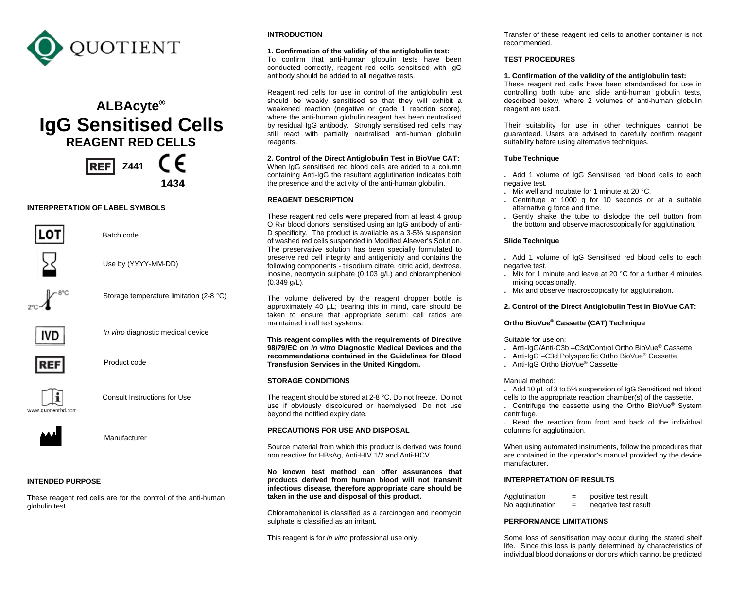

# **ALBAcyte® IgG Sensitised Cells**<br>**REAGENT RED CELLS**<br>**REFI Z441** C C

**REF** Z441 **1434**

#### **INTERPRETATION OF LABEL SYMBOLS**





Batch code

Use by (YYYY-MM-DD)



Storage temperature limitation (2-8 °C)



*In vitro* diagnostic medical device



Product code



Consult Instructions for Use





Manufacturer

## **INTENDED PURPOSE**

These reagent red cells are for the control of the anti-human globulin test.

# **INTRODUCTION**

#### **1. Confirmation of the validity of the antiglobulin test:**

To confirm that anti-human globulin tests have been conducted correctly, reagent red cells sensitised with IgG antibody should be added to all negative tests.

Reagent red cells for use in control of the antiglobulin test should be weakly sensitised so that they will exhibit a weakened reaction (negative or grade 1 reaction score), where the anti-human globulin reagent has been neutralised by residual IgG antibody. Strongly sensitised red cells may still react with partially neutralised anti-human globulin reagents.

**2. Control of the Direct Antiglobulin Test in BioVue CAT:** When IgG sensitised red blood cells are added to a column containing Anti-IgG the resultant agglutination indicates both the presence and the activity of the anti-human globulin.

## **REAGENT DESCRIPTION**

These reagent red cells were prepared from at least 4 group O R1r blood donors, sensitised using an IgG antibody of anti-D specificity. The product is available as a 3-5% suspension of washed red cells suspended in Modified Alsever's Solution. The preservative solution has been specially formulated to preserve red cell integrity and antigenicity and contains the following components - trisodium citrate, citric acid, dextrose, inosine, neomycin sulphate (0.103 g/L) and chloramphenicol (0.349 g/L).

The volume delivered by the reagent dropper bottle is approximately 40 µL; bearing this in mind, care should be taken to ensure that appropriate serum: cell ratios are maintained in all test systems.

**This reagent complies with the requirements of Directive 98/79/EC on** *in vitro* **Diagnostic Medical Devices and the recommendations contained in the Guidelines for Blood Transfusion Services in the United Kingdom.**

## **STORAGE CONDITIONS**

The reagent should be stored at 2-8 °C. Do not freeze. Do not use if obviously discoloured or haemolysed. Do not use beyond the notified expiry date.

## **PRECAUTIONS FOR USE AND DISPOSAL**

Source material from which this product is derived was found non reactive for HBsAg, Anti-HIV 1/2 and Anti-HCV.

**No known test method can offer assurances that products derived from human blood will not transmit infectious disease, therefore appropriate care should be taken in the use and disposal of this product.**

Chloramphenicol is classified as a carcinogen and neomycin sulphate is classified as an irritant.

This reagent is for *in vitro* professional use only.

Transfer of these reagent red cells to another container is not recommended.

## **TEST PROCEDURES**

## **1. Confirmation of the validity of the antiglobulin test:**

These reagent red cells have been standardised for use in controlling both tube and slide anti-human globulin tests, described below, where 2 volumes of anti-human globulin reagent are used.

Their suitability for use in other techniques cannot be guaranteed. Users are advised to carefully confirm reagent suitability before using alternative techniques.

#### **Tube Technique**

**.** Add 1 volume of IgG Sensitised red blood cells to each negative test.

- **.** Mix well and incubate for 1 minute at 20 °C.
- **.** Centrifuge at 1000 g for 10 seconds or at a suitable alternative g force and time.
- **.** Gently shake the tube to dislodge the cell button from the bottom and observe macroscopically for agglutination.

## **Slide Technique**

- **.** Add 1 volume of IgG Sensitised red blood cells to each negative test.
- **.** Mix for 1 minute and leave at 20 °C for a further 4 minutes mixing occasionally.
- **.** Mix and observe macroscopically for agglutination.

## **2. Control of the Direct Antiglobulin Test in BioVue CAT:**

# **Ortho BioVue® Cassette (CAT) Technique**

Suitable for use on:

- **.** Anti-IgG/Anti-C3b –C3d/Control Ortho BioVue® Cassette
- **.** Anti-IgG –C3d Polyspecific Ortho BioVue® Cassette
- **.** Anti-IgG Ortho BioVue® Cassette

#### Manual method:

**.** Add 10 µL of 3 to 5% suspension of IgG Sensitised red blood cells to the appropriate reaction chamber(s) of the cassette.

**.** Centrifuge the cassette using the Ortho BioVue® System centrifuge.

**.** Read the reaction from front and back of the individual columns for agglutination.

When using automated instruments, follow the procedures that are contained in the operator's manual provided by the device manufacturer.

## **INTERPRETATION OF RESULTS**

| Agglutination    | -   | positive test result |
|------------------|-----|----------------------|
| No agglutination | $=$ | negative test result |

## **PERFORMANCE LIMITATIONS**

Some loss of sensitisation may occur during the stated shelf life. Since this loss is partly determined by characteristics of individual blood donations or donors which cannot be predicted